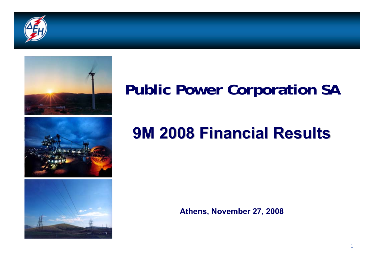



# **Public Power Corporation SA**

# **9M 2008 Financial Results**

**Athens, November 27, 2008**

1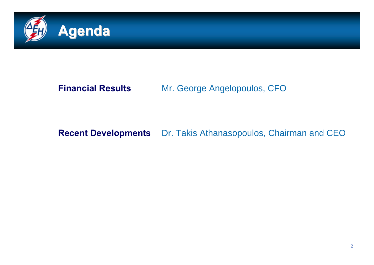

#### **Financial Results**

#### Mr. George Angelopoulos, CFO

#### **Recent Developments** Dr. Takis Athanasopoulos, Chairman and CEO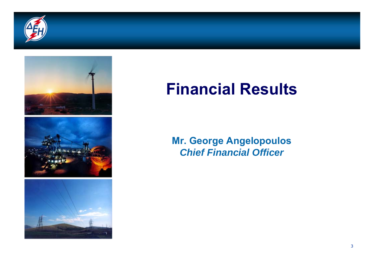



## **Financial Results**

#### **Mr. George Angelopoulos** *Chief Financial Officer*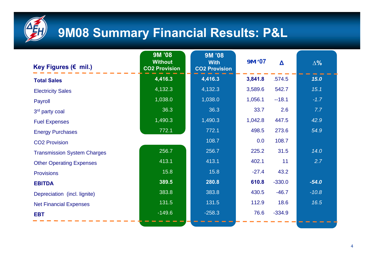

## **9M08 Summary Financial Results: P&L**

| Key Figures (€ mil.)               | 9M '08<br><b>Without</b><br><b>CO2 Provision</b> | 9M '08<br><b>With</b><br><b>CO2 Provision</b> | 9M '07  | $\blacktriangle$ | $\Delta\%$ |
|------------------------------------|--------------------------------------------------|-----------------------------------------------|---------|------------------|------------|
| <b>Total Sales</b>                 | 4,416.3                                          | 4,416.3                                       | 3,841.8 | .574.5           | 15.0       |
| <b>Electricity Sales</b>           | 4,132.3                                          | 4,132.3                                       | 3,589.6 | 542.7            | 15.1       |
| Payroll                            | 1,038.0                                          | 1,038.0                                       | 1,056.1 | $-18.1$          | $-1.7$     |
| 3rd party coal                     | 36.3                                             | 36.3                                          | 33.7    | 2.6              | 7.7        |
| <b>Fuel Expenses</b>               | 1,490.3                                          | 1,490.3                                       | 1,042.8 | 447.5            | 42.9       |
| <b>Energy Purchases</b>            | 772.1                                            | 772.1                                         | 498.5   | 273.6            | 54.9       |
| <b>CO2 Provision</b>               |                                                  | 108.7                                         | 0.0     | 108.7            |            |
| <b>Transmission System Charges</b> | 256.7                                            | 256.7                                         | 225.2   | 31.5             | 14.0       |
| <b>Other Operating Expenses</b>    | 413.1                                            | 413.1                                         | 402.1   | 11               | 2.7        |
| <b>Provisions</b>                  | 15.8                                             | 15.8                                          | $-27.4$ | 43.2             |            |
| <b>EBITDA</b>                      | 389.5                                            | 280.8                                         | 610.8   | $-330.0$         | $-54.0$    |
| Depreciation (incl. lignite)       | 383.8                                            | 383.8                                         | 430.5   | $-46.7$          | $-10.8$    |
| <b>Net Financial Expenses</b>      | 131.5                                            | 131.5                                         | 112.9   | 18.6             | 16.5       |
| <b>EBT</b>                         | $-149.6$                                         | $-258.3$                                      | 76.6    | $-334.9$         |            |

-115.0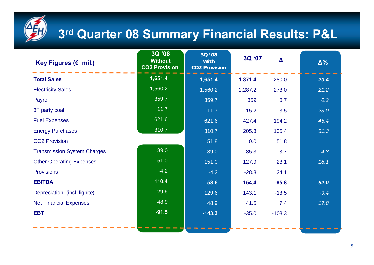

## **3rd Quarter 08 Summary Financial Results: P&L**

| Key Figures ( $\varepsilon$ mil.)  | 3Q '08<br><b>Without</b><br><b>CO2 Provision</b> | 30 '08<br><b>With</b><br><b>CO2 Provision</b> | 3Q '07  | $\Delta$ | $\Delta\%$ |
|------------------------------------|--------------------------------------------------|-----------------------------------------------|---------|----------|------------|
| <b>Total Sales</b>                 | 1,651.4                                          | 1,651.4                                       | 1.371.4 | 280.0    | 20.4       |
| <b>Electricity Sales</b>           | 1,560.2                                          | 1,560.2                                       | 1.287.2 | 273.0    | 21.2       |
| Payroll                            | 359.7                                            | 359.7                                         | 359     | 0.7      | 0.2        |
| 3rd party coal                     | 11.7                                             | 11.7                                          | 15.2    | $-3.5$   | $-23.0$    |
| <b>Fuel Expenses</b>               | 621.6                                            | 621.6                                         | 427.4   | 194.2    | 45.4       |
| <b>Energy Purchases</b>            | 310.7                                            | 310.7                                         | 205.3   | 105.4    | 51.3       |
| <b>CO2 Provision</b>               |                                                  | 51.8                                          | 0.0     | 51.8     |            |
| <b>Transmission System Charges</b> | 89.0                                             | 89.0                                          | 85.3    | 3.7      | 4.3        |
| <b>Other Operating Expenses</b>    | 151.0                                            | 151.0                                         | 127.9   | 23.1     | 18.1       |
| <b>Provisions</b>                  | $-4.2$                                           | $-4.2$                                        | $-28.3$ | 24.1     |            |
| <b>EBITDA</b>                      | 110.4                                            | 58.6                                          | 154,4   | $-95.8$  | $-62.0$    |
| Depreciation (incl. lignite)       | 129.6                                            | 129.6                                         | 143,1   | $-13.5$  | $-9.4$     |
| <b>Net Financial Expenses</b>      | 48.9                                             | 48.9                                          | 41.5    | 7.4      | 17.8       |
| <b>EBT</b>                         | $-91.5$                                          | $-143.3$                                      | $-35.0$ | $-108.3$ |            |
|                                    |                                                  |                                               |         |          |            |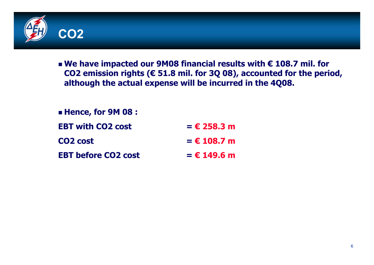

 **We have impacted our 9M08 financial results with € 108.7 mil. for CO2 emission rights (€ 51.8 mil. for 3Q 08), accounted for the period, although the actual expense will be incurred in the 4Q08.** 

| <b>E</b> Hence, for 9M 08 : |               |
|-----------------------------|---------------|
| <b>EBT with CO2 cost</b>    | $= 6258.3 m$  |
| CO <sub>2</sub> cost        | $= 6108.7$ m  |
| <b>EBT before CO2 cost</b>  | $=$ € 149.6 m |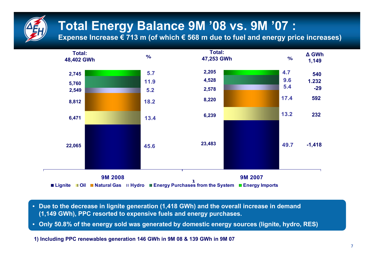

## **Total Energy Balance 9Μ '08 vs. 9Μ '07 :**

**Expense Increase € 713 m (of which € 568 <sup>m</sup> due to fuel and energy price increases)**



- **Due to the decrease in lignite generation (1,418 GWh) and the overall increase in demand (1,149 GWh), PPC resorted to expensive fuels and energy purchases.**
- **Only 50.8% of the energy sold was generated by domestic energy sources (lignite, hydro, RES)**

**1) Including PPC renewables generation 146 GWh in 9M 08 & 139 GWh in 9M 07**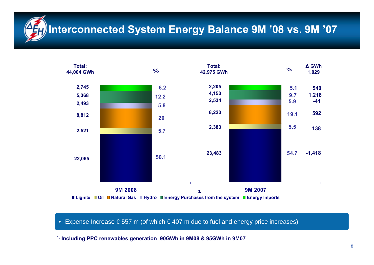## **Interconnected System Energy Balance 9M '08 vs. 9M '07**



#### • Expense Increase € 557 m (of which € 407 <sup>m</sup> due to fuel and energy price increases)

**1. Including PPC renewables generation 90GWh in 9M08 & 95GWh in 9M07**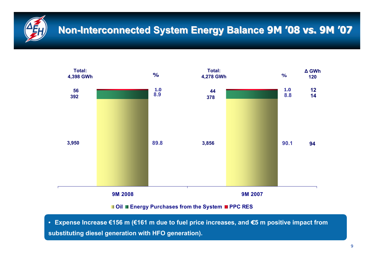

### **Non-Interconnected System Energy Balance 9M '08 vs. 9M '07**



**Oil Energy Purchases from the System PPC RES**

• **Expense Increase €156 <sup>m</sup> (€161 m due to fuel price increases, and €5 m positive impact from substituting diesel generation with HFO generation).**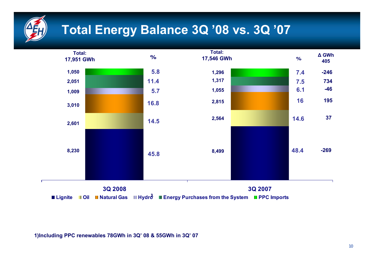

## **Total Energy Balance 3Q '08 vs. 3Q '07**



**1)Including PPC renewables 78GWh in 3Q' 08 & 55GWh in 3Q' 07**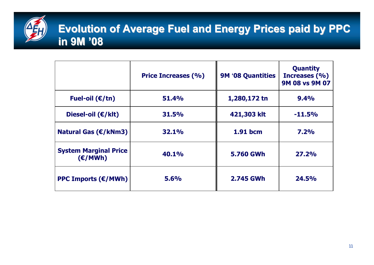

### **Evolution of Average Fuel and Energy Prices paid by PPC in 9 Μ '08**

|                                                | <b>Price Increases (%)</b> | <b>9M '08 Quantities</b> | <b>Quantity</b><br>Increases (%)<br>9M 08 vs 9M 07 |
|------------------------------------------------|----------------------------|--------------------------|----------------------------------------------------|
| Fuel-oil $(\epsilon/\text{tn})$                | 51.4%                      | 1,280,172 tn             | 9.4%                                               |
| Diesel-oil $(E/kt)$                            | 31.5%                      | 421,303 klt              | $-11.5%$                                           |
| Natural Gas $(\epsilon/kNm3)$                  | 32.1%                      | 1.91 bcm                 | 7.2%                                               |
| <b>System Marginal Price</b><br>(E/MWh)        | 40.1%                      | <b>5.760 GWh</b>         | 27.2%                                              |
| <b>PPC Imports (<math>\epsilon</math>/MWh)</b> | 5.6%                       | 2.745 GWh                | 24.5%                                              |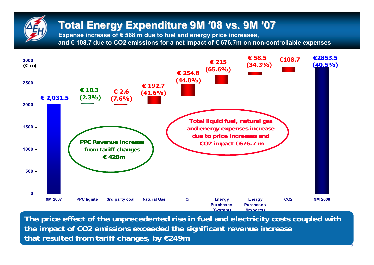## **Total Energy Expenditure Total Energy Expenditure 9Μ '08 vs. 9Μ '07**

**Expense increase of € 568 m due to fuel and energy price increases, and € 108.7 due to CO2 emissions for a net impact of € 676.7m on non-controllable expenses**



**The price effect of the unprecedented rise in fuel and electricity costs coupled with the impact of CO2 emissions exceeded the significant revenue increase that resulted from tariff changes, by €249m**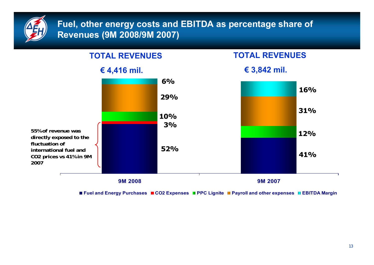

#### **Fuel, other energy costs and EBITDA as percentage share of Revenues (9M 2008/9M 2007)**



■ Fuel and Energy Purchases ■ CO2 Expenses ■ PPC Lignite ■ Payroll and other expenses ■ EBITDA Margin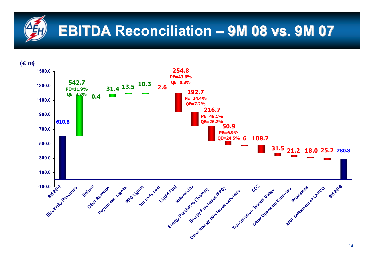# **EBITDA Reconciliation EBITDA – 9Μ 08 vs. 9Μ 07**

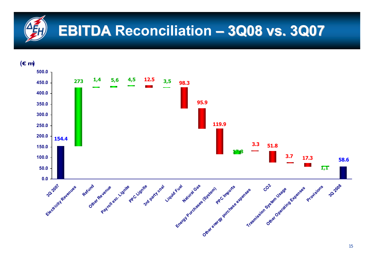# **EBITDA Reconciliation EBITDA – 3Q08 vs. 3Q07**

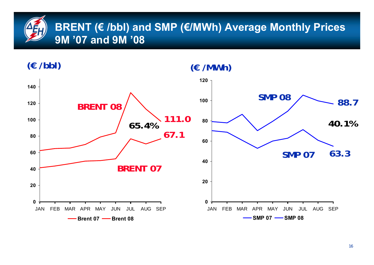## **BRENT (€ /bbl) and SMP (€/MWh) Average Monthly Prices 9M '07 and 9M '08**

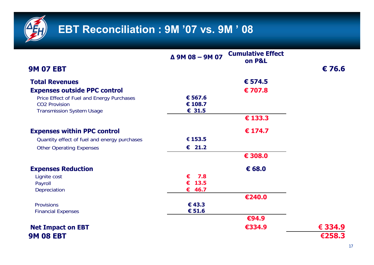

|                                              | $\triangle$ 9M 08 - 9M 07 | <b>Cumulative Effect</b><br>on P&L |                 |
|----------------------------------------------|---------------------------|------------------------------------|-----------------|
| <b>9M 07 EBT</b>                             |                           |                                    | $\epsilon$ 76.6 |
| <b>Total Revenues</b>                        |                           | € 574.5                            |                 |
| <b>Expenses outside PPC control</b>          |                           | €707.8                             |                 |
| Price Effect of Fuel and Energy Purchases    | € 567.6                   |                                    |                 |
| <b>CO2 Provision</b>                         | € 108.7                   |                                    |                 |
| <b>Transmission System Usage</b>             | € 31.5                    |                                    |                 |
|                                              |                           | € 133.3                            |                 |
| <b>Expenses within PPC control</b>           |                           | $\epsilon$ 174.7                   |                 |
| Quantity effect of fuel and energy purchases | € 153.5                   |                                    |                 |
| <b>Other Operating Expenses</b>              | $\epsilon$ 21.2           |                                    |                 |
|                                              |                           | € 308.0                            |                 |
| <b>Expenses Reduction</b>                    |                           | € 68.0                             |                 |
| Lignite cost                                 | 7.8<br>€                  |                                    |                 |
| Payroll                                      | $\epsilon$ 13.5           |                                    |                 |
| Depreciation                                 | € 46.7                    |                                    |                 |
|                                              |                           | €240.0                             |                 |
| <b>Provisions</b>                            | €43.3                     |                                    |                 |
| <b>Financial Expenses</b>                    | € 51.6                    |                                    |                 |
|                                              |                           | €94.9                              |                 |
| <b>Net Impact on EBT</b>                     |                           | €334.9                             | € 334.9         |
| <b>9M 08 EBT</b>                             |                           |                                    | €258.3          |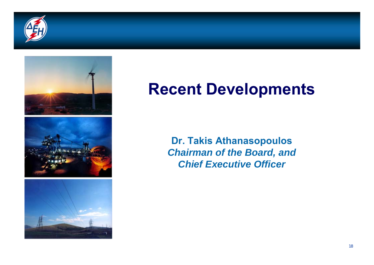



# **Recent Developments**

**Dr. Takis Athanasopoulos** *Chairman of the Board, and Chief Executive Officer*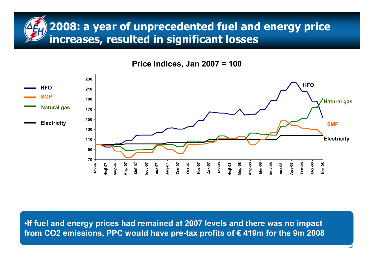## **2008: a year of unprecedented fuel and energy price increases, resulted in significant losses**





•**If fuel and energy prices had remained at 2007 levels and there was no impact from CO2 emissions, PPC would have pre-tax profits of € 419m for the 9m 2008**

19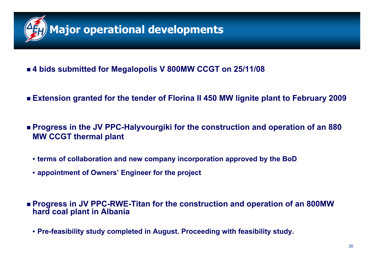

#### **4 bids submitted for Megalopolis V 800MW CCGT on 25/11/08**

- **Extension granted for the tender of Florina II 450 MW lignite plant to February 2009**
- **Progress in the JV PPC-Halyvourgiki for the construction and operation of an 880 MW CCGT thermal plant** 
	- **terms of collaboration and new company incorporation approved by the BoD**
	- **appointment of Owners' Engineer for the project**
- **Progress in JV PPC-RWE-Titan for the construction and operation of an 800MW hard coal plant in Albania**
	- **Pre-feasibility study completed in August. Proceeding with feasibility study.**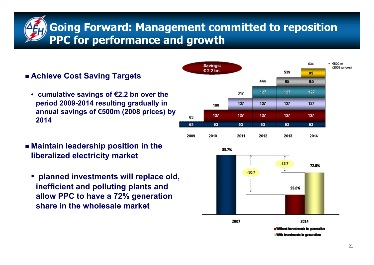**Going Forward: Management committed to reposition PPC for performance and growth**

#### **Achieve Cost Saving Targets**

- **cumulative savings of €2.2 bn over the period 2009-2014 resulting gradually in annual savings of €500m (2008 prices) by 2014**
- **Maintain leadership position in the liberalized electricity market**
	- **planned investments will replace old, inefficient and polluting plants and allow PPC to have a 72% generation share in the wholesale market**